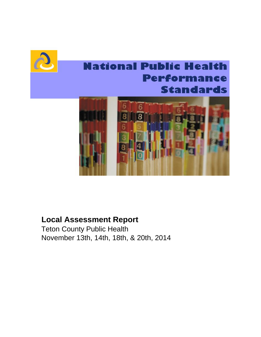

# **National Public Health** Performance **Standards**



## **Local Assessment Report**

Teton County Public Health November 13th, 14th, 18th, & 20th, 2014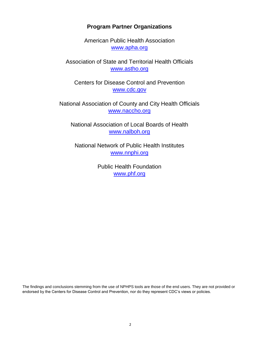## **Program Partner Organizations**

[w](http://www.apha.org/)ww.apha.org American Public Health Association

Association of State and Territorial Health Officials www.astho.org

Centers for Disease Control and Prevention www.cdc.gov

www.naccho.org National Association of County and City Health Officials

[w](http://www.nalboh.org/)ww.nalboh.org National Association of Local Boards of Health

National Network of Public Health Institutes www.nnphi.org

> Public Health Foundation [w](http://www.phf.org/)ww.phf.org

The findings and conclusions stemming from the use of NPHPS tools are those of the end users. They are not provided or endorsed by the Centers for Disease Control and Prevention, nor do they represent CDC's views or policies.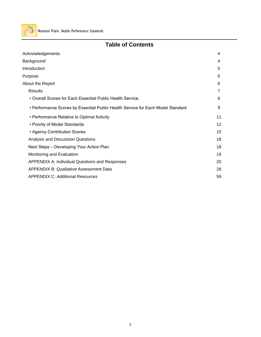

## **Table of Contents**

| Acknowledgements                                                                | 4  |
|---------------------------------------------------------------------------------|----|
| Background                                                                      | 4  |
| Introduction                                                                    | 5  |
| Purpose                                                                         | 6  |
| About the Report                                                                | 6  |
| <b>Results</b>                                                                  | 7  |
| • Overall Scores for Each Essential Public Health Service                       | 8  |
| • Performance Scores by Essential Public Health Service for Each Model Standard | 9  |
| • Performance Relative to Optimal Activity                                      | 11 |
| • Priority of Model Standards                                                   | 12 |
| • Agency Contribution Scores                                                    | 15 |
| Analysis and Discussion Questions                                               | 18 |
| Next Steps - Developing Your Action Plan                                        | 18 |
| Monitoring and Evaluation                                                       | 19 |
| <b>APPENDIX A: Individual Questions and Responses</b>                           | 20 |
| <b>APPENDIX B: Qualitative Assessment Data</b>                                  | 28 |
| <b>APPENDIX C: Additional Resources</b>                                         | 59 |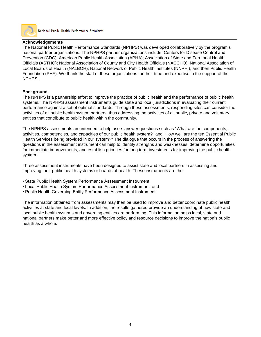

National Public Health Performance Standards

#### **Acknowledgements**

The National Public Health Performance Standards (NPHPS) was developed collaboratively by the program's national partner organizations. The NPHPS partner organizations include: Centers for Disease Control and Prevention (CDC); American Public Health Association (APHA); Association of State and Territorial Health Officials (ASTHO); National Association of County and City Health Officials (NACCHO); National Association of Local Boards of Health (NALBOH); National Network of Public Health Institutes (NNPHI); and then Public Health Foundation (PHF). We thank the staff of these organizations for their time and expertise in the support of the NPHPS.

#### **Background**

The NPHPS is a partnership effort to improve the practice of public health and the performance of public health systems. The NPHPS assessment instruments guide state and local jurisdictions in evaluating their current performance against a set of optimal standards. Through these assessments, responding sites can consider the activities of all public health system partners, thus addressing the activities of all public, private and voluntary entities that contribute to public health within the community.

The NPHPS assessments are intended to help users answer questions such as "What are the components, activities, competencies, and capacities of our public health system?" and "How well are the ten Essential Public Health Services being provided in our system?" The dialogue that occurs in the process of answering the questions in the assessment instrument can help to identify strengths and weaknesses, determine opportunities for immediate improvements, and establish priorities for long term investments for improving the public health system.

Three assessment instruments have been designed to assist state and local partners in assessing and improving their public health systems or boards of health. These instruments are the:

- State Public Health System Performance Assessment Instrument,
- Local Public Health System Performance Assessment Instrument, and
- Public Health Governing Entity Performance Assessment Instrument.

The information obtained from assessments may then be used to improve and better coordinate public health activities at state and local levels. In addition, the results gathered provide an understanding of how state and local public health systems and governing entities are performing. This information helps local, state and national partners make better and more effective policy and resource decisions to improve the nation's public health as a whole.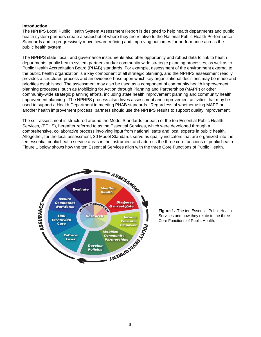#### **Introduction**

The NPHPS Local Public Health System Assessment Report is designed to help health departments and public health system partners create a snapshot of where they are relative to the National Public Health Performance Standards and to progressively move toward refining and improving outcomes for performance across the public health system.

The NPHPS state, local, and governance instruments also offer opportunity and robust data to link to health departments, public health system partners and/or community-wide strategic planning processes, as well as to Public Health Accreditation Board (PHAB) standards. For example, assessment of the environment external to the public health organization is a key component of all strategic planning, and the NPHPS assessment readily provides a structured process and an evidence-base upon which key organizational decisions may be made and priorities established. The assessment may also be used as a component of community health improvement planning processes, such as Mobilizing for Action through Planning and Partnerships (MAPP) or other community-wide strategic planning efforts, including state health improvement planning and community health improvement planning. The NPHPS process also drives assessment and improvement activities that may be used to support a Health Department in meeting PHAB standards. Regardless of whether using MAPP or another health improvement process, partners should use the NPHPS results to support quality improvement.

The self-assessment is structured around the Model Standards for each of the ten Essential Public Health Services, (EPHS), hereafter referred to as the Essential Services, which were developed through a comprehensive, collaborative process involving input from national, state and local experts in public health. Altogether, for the local assessment, 30 Model Standards serve as quality indicators that are organized into the ten essential public health service areas in the instrument and address the three core functions of public health. Figure 1 below shows how the ten Essential Services align with the three Core Functions of Public Health.



**Figure 1.** The ten Essential Public Health Services and how they relate to the three Core Functions of Public Health.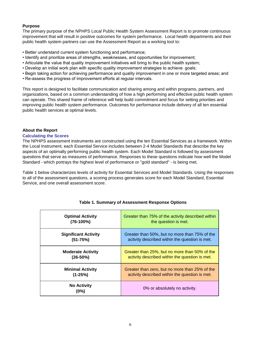#### **Purpose**

The primary purpose of the NPHPS Local Public Health System Assessment Report is to promote continuous improvement that will result in positive outcomes for system performance. Local health departments and their public health system partners can use the Assessment Report as a working tool to:

- Better understand current system functioning and performance;
- Identify and prioritize areas of strengths, weaknesses, and opportunities for improvement;
- Articulate the value that quality improvement initiatives will bring to the public health system;
- Develop an initial work plan with specific quality improvement strategies to achieve goals;
- Begin taking action for achieving performance and quality improvement in one or more targeted areas; and
- Re-assess the progress of improvement efforts at regular intervals.

This report is designed to facilitate communication and sharing among and within programs, partners, and organizations, based on a common understanding of how a high performing and effective public health system can operate. This shared frame of reference will help build commitment and focus for setting priorities and improving public health system performance. Outcomes for performance include delivery of all ten essential public health services at optimal levels.

#### **About the Report**

#### **Calculating the Scores**

The NPHPS assessment instruments are constructed using the ten Essential Services as a framework. Within the Local Instrument, each Essential Service includes between 2-4 Model Standards that describe the key aspects of an optimally performing public health system. Each Model Standard is followed by assessment questions that serve as measures of performance. Responses to these questions indicate how well the Model Standard - which portrays the highest level of performance or "gold standard" - is being met.

Table 1 below characterizes levels of activity for Essential Services and Model Standards. Using the responses to all of the assessment questions, a scoring process generates score for each Model Standard, Essential Service, and one overall assessment score.

| <b>Optimal Activity</b>     | Greater than 75% of the activity described within |
|-----------------------------|---------------------------------------------------|
| $(76-100%)$                 | the question is met.                              |
| <b>Significant Activity</b> | Greater than 50%, but no more than 75% of the     |
| $(51 - 75%)$                | activity described within the question is met.    |
| <b>Moderate Activity</b>    | Greater than 25%, but no more than 50% of the     |
| $(26-50%)$                  | activity described within the question is met.    |
| <b>Minimal Activity</b>     | Greater than zero, but no more than 25% of the    |
| $(1-25%)$                   | activity described within the question is met.    |
| <b>No Activity</b><br>(0%)  | 0% or absolutely no activity.                     |

#### **Table 1. Summary of Assessment Response Options**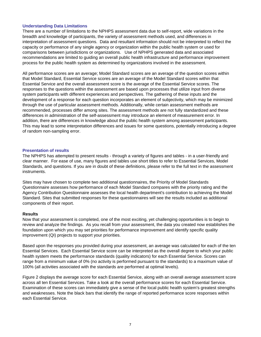#### **Understanding Data Limitations**

There are a number of limitations to the NPHPS assessment data due to self-report, wide variations in the breadth and knowledge of participants, the variety of assessment methods used, and differences in interpretation of assessment questions. Data and resultant information should not be interpreted to reflect the capacity or performance of any single agency or organization within the public health system or used for comparisons between jurisdictions or organizations. Use of NPHPS generated data and associated recommendations are limited to guiding an overall public health infrastructure and performance improvement process for the public health system as determined by organizations involved in the assessment.

All performance scores are an average; Model Standard scores are an average of the question scores within that Model Standard, Essential Service scores are an average of the Model Standard scores within that Essential Service and the overall assessment score is the average of the Essential Service scores. The responses to the questions within the assessment are based upon processes that utilize input from diverse system participants with different experiences and perspectives. The gathering of these inputs and the development of a response for each question incorporates an element of subjectivity, which may be minimized through the use of particular assessment methods. Additionally, while certain assessment methods are recommended, processes differ among sites. The assessment methods are not fully standardized and these differences in administration of the self-assessment may introduce an element of measurement error. In addition, there are differences in knowledge about the public health system among assessment participants. This may lead to some interpretation differences and issues for some questions, potentially introducing a degree of random non-sampling error.

#### **Presentation of results**

The NPHPS has attempted to present results - through a variety of figures and tables - in a user-friendly and clear manner. For ease of use, many figures and tables use short titles to refer to Essential Services, Model Standards, and questions. If you are in doubt of these definitions, please refer to the full text in the assessment instruments.

Sites may have chosen to complete two additional questionnaires, the Priority of Model Standards Questionnaire assesses how performance of each Model Standard compares with the priority rating and the Agency Contribution Questionnaire assesses the local health department's contribution to achieving the Model Standard. Sites that submitted responses for these questionnaires will see the results included as additional components of their report.

#### **Results**

Now that your assessment is completed, one of the most exciting, yet challenging opportunities is to begin to review and analyze the findings. As you recall from your assessment, the data you created now establishes the foundation upon which you may set priorities for performance improvement and identify specific quality improvement (QI) projects to support your priorities.

Based upon the responses you provided during your assessment, an average was calculated for each of the ten Essential Services. Each Essential Service score can be interpreted as the overall degree to which your public health system meets the performance standards (quality indicators) for each Essential Service. Scores can range from a minimum value of 0% (no activity is performed pursuant to the standards) to a maximum value of 100% (all activities associated with the standards are performed at optimal levels).

Figure 2 displays the average score for each Essential Service, along with an overall average assessment score across all ten Essential Services. Take a look at the overall performance scores for each Essential Service. Examination of these scores can immediately give a sense of the local public health system's greatest strengths and weaknesses. Note the black bars that identify the range of reported performance score responses within each Essential Service.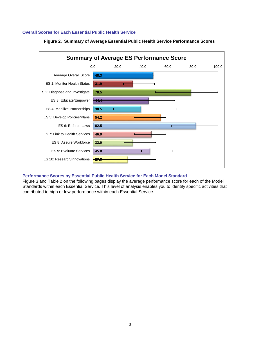#### **Overall Scores for Each Essential Public Health Service**





#### **Performance Scores by Essential Public Health Service for Each Model Standard**

Figure 3 and Table 2 on the following pages display the average performance score for each of the Model Standards within each Essential Service. This level of analysis enables you to identify specific activities that contributed to high or low performance within each Essential Service.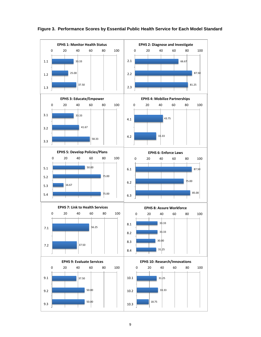

 **Figure 3. Performance Scores by Essential Public Health Service for Each Model Standard**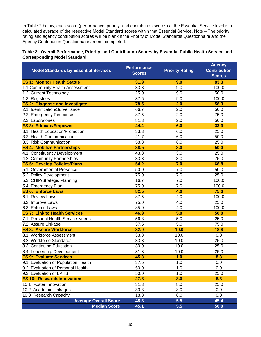In Table 2 below, each score (performance, priority, and contribution scores) at the Essential Service level is a calculated average of the respective Model Standard scores within that Essential Service. Note – The priority rating and agency contribution scores will be blank if the Priority of Model Standards Questionnaire and the Agency Contribution Questionnaire are not completed.

#### **Table 2. Overall Performance, Priority, and Contribution Scores by Essential Public Health Service and Corresponding Model Standard**

| <b>Model Standards by Essential Services</b> | <b>Performance</b><br><b>Scores</b> | <b>Priority Rating</b> | <b>Agency</b><br><b>Contribution</b><br><b>Scores</b> |
|----------------------------------------------|-------------------------------------|------------------------|-------------------------------------------------------|
| <b>ES 1: Monitor Health Status</b>           | 31.9                                | 9.0                    | 83.3                                                  |
| 1.1 Community Health Assessment              | 33.3                                | 9.0                    | 100.0                                                 |
| 1.2 Current Technology                       | 25.0                                | 9.0                    | 50.0                                                  |
| 1.3 Registries                               | 37.5                                | 9.0                    | 100.0                                                 |
| <b>ES 2: Diagnose and Investigate</b>        | 78.5                                | 2.0                    | 58.3                                                  |
| 2.1 Identification/Surveillance              | 66.7                                | 2.0                    | 50.0                                                  |
| 2.2 Emergency Response                       | 87.5                                | 2.0                    | 75.0                                                  |
| 2.3 Laboratories                             | 81.3                                | 2.0                    | 50.0                                                  |
| <b>ES 3: Educate/Empower</b>                 | 44.4                                | 6.0                    | 33.3                                                  |
| 3.1 Health Education/Promotion               | 33.3                                | 6.0                    | 25.0                                                  |
| 3.2 Health Communication                     | 41.7                                | 6.0                    | 50.0                                                  |
| 3.3 Risk Communication                       | 58.3                                | 6.0                    | 25.0                                                  |
| <b>ES 4: Mobilize Partnerships</b>           | 38.5                                | 3.0                    | 50.0                                                  |
| 4.1 Constituency Development                 | 43.8                                | 3.0                    | 25.0                                                  |
| 4.2 Community Partnerships                   | 33.3                                | 3.0                    | 75.0                                                  |
| <b>ES 5: Develop Policies/Plans</b>          | 54.2                                | 7.0                    | 68.8                                                  |
| 5.1 Governmental Presence                    | 50.0                                | 7.0                    | 50.0                                                  |
| 5.2 Policy Development                       | 75.0                                | 7.0                    | 25.0                                                  |
| 5.3 CHIP/Strategic Planning                  | 16.7                                | 7.0                    | 100.0                                                 |
| 5.4 Emergency Plan                           | 75.0                                | 7.0                    | 100.0                                                 |
| <b>ES 6: Enforce Laws</b>                    | 82.5                                | 4.0                    | 75.0                                                  |
| 6.1 Review Laws                              | 87.5                                | 4.0                    | 100.0                                                 |
| 6.2 Improve Laws                             | 75.0                                | 4.0                    | 25.0                                                  |
| 6.3 Enforce Laws                             | 85.0                                | 4.0                    | 100.0                                                 |
| <b>ES 7: Link to Health Services</b>         | 46.9                                | 5.0                    | 50.0                                                  |
| 7.1 Personal Health Service Needs            | 56.3                                | 5.0                    | 25.0                                                  |
| 7.2 Assure Linkage                           | 37.5                                | 5.0                    | 75.0                                                  |
| <b>ES 8: Assure Workforce</b>                | 32.0                                | 10.0                   | 18.8                                                  |
| 8.1 Workforce Assessment                     | 33.3                                | 10.0                   | 0.0                                                   |
| 8.2 Workforce Standards                      | 33.3                                | 10.0                   | 25.0                                                  |
| 8.3 Continuing Education                     | 30.0                                | 10.0                   | 25.0                                                  |
| 8.4 Leadership Development                   | 31.3                                | 10.0                   | 25.0                                                  |
| <b>ES 9: Evaluate Services</b>               | 45.8                                | 1.0                    | 8.3                                                   |
| 9.1 Evaluation of Population Health          | 37.5                                | 1.0                    | 0.0                                                   |
| 9.2 Evaluation of Personal Health            | 50.0                                | 1.0                    | 0.0                                                   |
| 9.3 Evaluation of LPHS                       | 50.0                                | 1.0                    | 25.0                                                  |
| <b>ES 10: Research/Innovations</b>           | 27.8                                | 8.0                    | 8.3                                                   |
| 10.1 Foster Innovation                       | 31.3                                | 8.0                    | 25.0                                                  |
| 10.2 Academic Linkages                       | 33.3                                | 8.0                    | 0.0                                                   |
| 10.3 Research Capacity                       | 18.8                                | 8.0                    | 0.0                                                   |
| <b>Average Overall Score</b>                 | 48.3                                | 5.5                    | 45.4                                                  |
| <b>Median Score</b>                          | 45.1                                | 5.5                    | 50.0                                                  |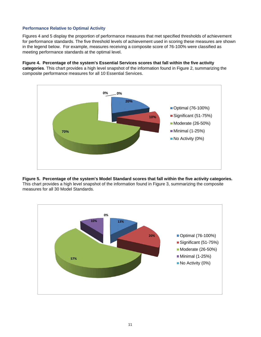#### **Performance Relative to Optimal Activity**

Figures 4 and 5 display the proportion of performance measures that met specified thresholds of achievement for performance standards. The five threshold levels of achievement used in scoring these measures are shown in the legend below. For example, measures receiving a composite score of 76-100% were classified as meeting performance standards at the optimal level.

## **Figure 4. Percentage of the system's Essential Services scores that fall within the five activity**

**categories**. This chart provides a high level snapshot of the information found in Figure 2, summarizing the composite performance measures for all 10 Essential Services.



#### **Figure 5. Percentage of the system's Model Standard scores that fall within the five activity categories.**  This chart provides a high level snapshot of the information found in Figure 3, summarizing the composite measures for all 30 Model Standards.

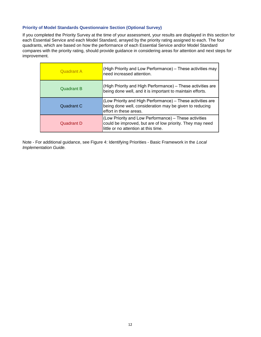#### **Priority of Model Standards Questionnaire Section (Optional Survey)**

If you completed the Priority Survey at the time of your assessment, your results are displayed in this section for each Essential Service and each Model Standard, arrayed by the priority rating assigned to each. The four quadrants, which are based on how the performance of each Essential Service and/or Model Standard compares with the priority rating, should provide guidance in considering areas for attention and next steps for improvement.

| <b>Quadrant A</b> | (High Priority and Low Performance) – These activities may<br>need increased attention.                                                                    |
|-------------------|------------------------------------------------------------------------------------------------------------------------------------------------------------|
| Quadrant B        | (High Priority and High Performance) - These activities are<br>being done well, and it is important to maintain efforts.                                   |
| Quadrant C        | (Low Priority and High Performance) - These activities are<br>being done well, consideration may be given to reducing<br>effort in these areas.            |
| Quadrant D        | (Low Priority and Low Performance) - These activities<br>could be improved, but are of low priority. They may need<br>little or no attention at this time. |

Note - For additional guidance, see Figure 4: Identifying Priorities - Basic Framework in the *Local Implementation Guide.*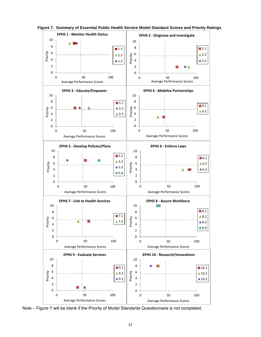

**Figure 7. Summary of Essential Public Health Service Model Standard Scores and Priority Ratings** 

Note – Figure 7 will be blank if the Priority of Model Standards Questionnaire is not completed.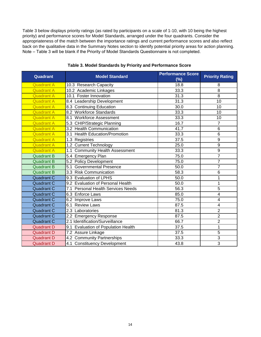Table 3 below displays priority ratings (as rated by participants on a scale of 1-10, with 10 being the highest priority) and performance scores for Model Standards, arranged under the four quadrants. Consider the appropriateness of the match between the importance ratings and current performance scores and also reflect back on the qualitative data in the Summary Notes section to identify potential priority areas for action planning. Note – Table 3 will be blank if the Priority of Model Standards Questionnaire is not completed.

| Quadrant          | <b>Model Standard</b>                         | <b>Performance Score</b><br>(%) | <b>Priority Rating</b> |
|-------------------|-----------------------------------------------|---------------------------------|------------------------|
| <b>Quadrant A</b> | 10.3 Research Capacity                        | 18.8                            | 8                      |
| <b>Quadrant A</b> | 10.2 Academic Linkages                        | 33.3                            | 8                      |
| <b>Quadrant A</b> | 10.1 Foster Innovation                        | 31.3                            | 8                      |
| <b>Quadrant A</b> | 8.4 Leadership Development                    | 31.3                            | 10                     |
| <b>Quadrant A</b> | 8.3 Continuing Education                      | 30.0                            | 10                     |
| <b>Quadrant A</b> | 8.2 Workforce Standards                       | 33.3                            | 10                     |
| <b>Quadrant A</b> | 8.1 Workforce Assessment                      | 33.3                            | 10                     |
| <b>Quadrant A</b> | 5.3 CHIP/Strategic Planning                   | 16.7                            | $\overline{7}$         |
| <b>Quadrant A</b> | 3.2 Health Communication                      | 41.7                            | $6\phantom{1}6$        |
| <b>Quadrant A</b> | 3.1 Health Education/Promotion                | 33.3                            | 6                      |
| <b>Quadrant A</b> | 1.3 Registries                                | 37.5                            | 9                      |
| <b>Quadrant A</b> | 1.2 Current Technology                        | 25.0                            | 9                      |
| <b>Quadrant A</b> | 1.1 Community Health Assessment               | 33.3                            | 9                      |
| <b>Quadrant B</b> | 5.4 Emergency Plan                            | 75.0                            | $\overline{7}$         |
| <b>Quadrant B</b> | 5.2 Policy Development                        | 75.0                            | 7                      |
| <b>Quadrant B</b> | 5.1 Governmental Presence                     | 50.0                            | $\overline{7}$         |
| <b>Quadrant B</b> | 3.3 Risk Communication                        | 58.3                            | $6\phantom{1}6$        |
| <b>Quadrant C</b> | 9.3 Evaluation of LPHS                        | 50.0                            | 1                      |
| <b>Quadrant C</b> | 9.2 Evaluation of Personal Health             | 50.0                            | $\overline{1}$         |
| <b>Quadrant C</b> | 7.1 Personal Health Services Needs            | 56.3                            | 5                      |
| <b>Quadrant C</b> | 6.3 Enforce Laws                              | 85.0                            | 4                      |
| <b>Quadrant C</b> | 6.2 Improve Laws                              | 75.0                            | 4                      |
| <b>Quadrant C</b> | 6.1 Review Laws                               | 87.5                            | 4                      |
| <b>Quadrant C</b> | 2.3 Laboratories                              | 81.3                            | $\overline{2}$         |
| <b>Quadrant C</b> | 2.2 Emergency Response                        | 87.5                            | $\overline{2}$         |
| <b>Quadrant C</b> | 2.1 Identification/Surveillance               | 66.7                            | $\overline{2}$         |
| <b>Quadrant D</b> | <b>Evaluation of Population Health</b><br>9.1 | 37.5                            | $\overline{1}$         |
| <b>Quadrant D</b> | 7.2 Assure Linkage                            | 37.5                            | 5                      |
| <b>Quadrant D</b> | 4.2 Community Partnerships                    | 33.3                            | 3                      |
| <b>Quadrant D</b> | 4.1 Constituency Development                  | 43.8                            | 3                      |

**Table 3. Model Standards by Priority and Performance Score**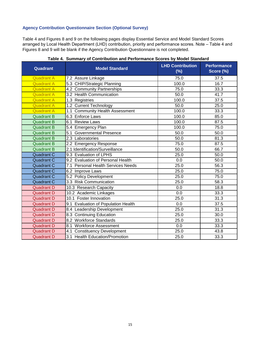#### **Agency Contribution Questionnaire Section (Optional Survey)**

Table 4 and Figures 8 and 9 on the following pages display Essential Service and Model Standard Scores arranged by Local Health Department (LHD) contribution, priority and performance scores. Note – Table 4 and Figures 8 and 9 will be blank if the Agency Contribution Questionnaire is not completed.

| Quadrant          | <b>Model Standard</b>               | <b>LHD Contribution</b><br>$(\%)$ | <b>Performance</b><br>Score (%) |
|-------------------|-------------------------------------|-----------------------------------|---------------------------------|
| <b>Quadrant A</b> | 7.2 Assure Linkage                  | 75.0                              | 37.5                            |
| <b>Quadrant A</b> | 5.3 CHIP/Strategic Planning         | 100.0                             | 16.7                            |
| <b>Quadrant A</b> | 4.2 Community Partnerships          | 75.0                              | 33.3                            |
| <b>Quadrant A</b> | 3.2 Health Communication            | 50.0                              | 41.7                            |
| <b>Quadrant A</b> | 1.3 Registries                      | 100.0                             | 37.5                            |
| <b>Quadrant A</b> | 1.2 Current Technology              | 50.0                              | 25.0                            |
| <b>Quadrant A</b> | 1.1 Community Health Assessment     | 100.0                             | 33.3                            |
| <b>Quadrant B</b> | 6.3 Enforce Laws                    | 100.0                             | 85.0                            |
| <b>Quadrant B</b> | 6.1 Review Laws                     | 100.0                             | 87.5                            |
| <b>Quadrant B</b> | 5.4 Emergency Plan                  | 100.0                             | 75.0                            |
| <b>Quadrant B</b> | 5.1 Governmental Presence           | 50.0                              | 50.0                            |
| <b>Quadrant B</b> | 2.3 Laboratories                    | 50.0                              | 81.3                            |
| <b>Quadrant B</b> | 2.2 Emergency Response              | 75.0                              | 87.5                            |
| <b>Quadrant B</b> | 2.1 Identification/Surveillance     | 50.0                              | 66.7                            |
| <b>Quadrant C</b> | 9.3 Evaluation of LPHS              | 25.0                              | 50.0                            |
| <b>Quadrant C</b> | 9.2 Evaluation of Personal Health   | 0.0                               | 50.0                            |
| <b>Quadrant C</b> | 7.1 Personal Health Services Needs  | 25.0                              | $\frac{1}{56.3}$                |
| <b>Quadrant C</b> | 6.2 Improve Laws                    | 25.0                              | 75.0                            |
| <b>Quadrant C</b> | 5.2 Policy Development              | 25.0                              | 75.0                            |
| <b>Quadrant C</b> | 3.3 Risk Communication              | 25.0                              | 58.3                            |
| <b>Quadrant D</b> | 10.3 Research Capacity              | 0.0                               | 18.8                            |
| <b>Quadrant D</b> | 10.2 Academic Linkages              | 0.0                               | 33.3                            |
| <b>Quadrant D</b> | 10.1 Foster Innovation              | 25.0                              | 31.3                            |
| <b>Quadrant D</b> | 9.1 Evaluation of Population Health | 0.0                               | $\overline{37.5}$               |
| <b>Quadrant D</b> | 8.4 Leadership Development          | 25.0                              | 31.3                            |
| <b>Quadrant D</b> | 8.3 Continuing Education            | 25.0                              | 30.0                            |
| <b>Quadrant D</b> | 8.2 Workforce Standards             | 25.0                              | 33.3                            |
| <b>Quadrant D</b> | 8.1 Workforce Assessment            | 0.0                               | 33.3                            |
| <b>Quadrant D</b> | 4.1 Constituency Development        | 25.0                              | 43.8                            |
| <b>Quadrant D</b> | 3.1 Health Education/Promotion      | 25.0                              | 33.3                            |

#### **Table 4. Summary of Contribution and Performance Scores by Model Standard**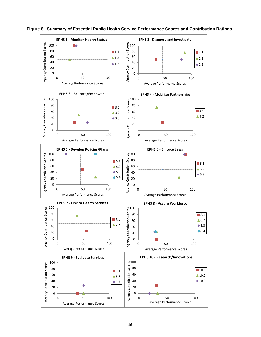

**Figure 8. Summary of Essential Public Health Service Performance Scores and Contribution Ratings**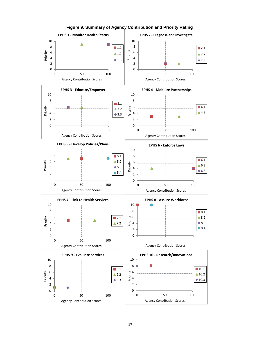

**Figure 9. Summary of Agency Contribution and Priority Rating**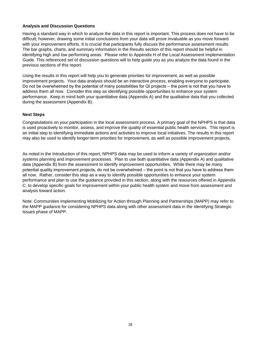#### **Analysis and Discussion Questions**

Having a standard way in which to analyze the data in this report is important. This process does not have to be difficult; however, drawing some initial conclusions from your data will prove invaluable as you move forward with your improvement efforts. It is crucial that participants fully discuss the performance assessment results. The bar graphs, charts, and summary information in the Results section of this report should be helpful in identifying high and low performing areas. Please refer to Appendix H of the Local Assessment Implementation Guide. This referenced set of discussion questions will to help guide you as you analyze the data found in the previous sections of this report.

Using the results in this report will help you to generate priorities for improvement, as well as possible improvement projects. Your data analysis should be an interactive process, enabling everyone to participate. Do not be overwhelmed by the potential of many possibilities for QI projects – the point is not that you have to address them all now. Consider this step as identifying possible opportunities to enhance your system performance. Keep in mind both your quantitative data (Appendix A) and the qualitative data that you collected during the assessment (Appendix B).

#### **Next Steps**

Congratulations on your participation in the local assessment process. A primary goal of the NPHPS is that data is used proactively to monitor, assess, and improve the quality of essential public health services. This report is an initial step to identifying immediate actions and activities to improve local initiatives. The results in this report may also be used to identify longer-term priorities for improvement, as well as possible improvement projects.

As noted in the Introduction of this report, NPHPS data may be used to inform a variety of organization and/or systems planning and improvement processes. Plan to use both quantitative data (Appendix A) and qualitative data (Appendix B) from the assessment to identify improvement opportunities. While there may be many potential quality improvement projects, do not be overwhelmed – the point is not that you have to address them all now. Rather, consider this step as a way to identify possible opportunities to enhance your system performance and plan to use the guidance provided in this section, along with the resources offered in Appendix C, to develop specific goals for improvement within your public health system and move from assessment and analysis toward action.

Note: Communities implementing Mobilizing for Action through Planning and Partnerships (MAPP) may refer to the MAPP guidance for considering NPHPS data along with other assessment data in the Identifying Strategic Issues phase of MAPP.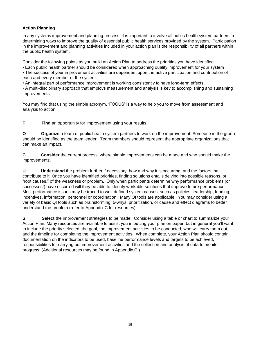#### **Action Planning**

In any systems improvement and planning process, it is important to involve all public health system partners in determining ways to improve the quality of essential public health services provided by the system. Participation in the improvement and planning activities included in your action plan is the responsibility of all partners within the public health system.

Consider the following points as you build an Action Plan to address the priorities you have identified

• Each public health partner should be considered when approaching quality improvement for your system

• The success of your improvement activities are dependent upon the active participation and contribution of each and every member of the system

• An integral part of performance improvement is working consistently to have long-term effects

• A multi-disciplinary approach that employs measurement and analysis is key to accomplishing and sustaining improvements

You may find that using the simple acronym, 'FOCUS' is a way to help you to move from assessment and analysis to action.

**F** Find an opportunity for improvement using your results.

**O Organize** a team of public health system partners to work on the improvement. Someone in the group should be identified as the team leader. Team members should represent the appropriate organizations that can make an impact.

**C Consider** the current process, where simple improvements can be made and who should make the improvements.

**U** Understand the problem further if necessary, how and why it is occurring, and the factors that contribute to it. Once you have identified priorities, finding solutions entails delving into possible reasons, or "root causes," of the weakness or problem. Only when participants determine why performance problems (or successes!) have occurred will they be able to identify workable solutions that improve future performance. Most performance issues may be traced to well-defined system causes, such as policies, leadership, funding, incentives, information, personnel or coordination. Many QI tools are applicable. You may consider using a variety of basic QI tools such as brainstorming, 5-whys, prioritization, or cause and effect diagrams to better understand the problem (refer to Appendix C for resources).

**S** Select the improvement strategies to be made. Consider using a table or chart to summarize your Action Plan. Many resources are available to assist you in putting your plan on paper, but in general you'll want to include the priority selected, the goal, the improvement activities to be conducted, who will carry them out, and the timeline for completing the improvement activities. When complete, your Action Plan should contain documentation on the indicators to be used, baseline performance levels and targets to be achieved, responsibilities for carrying out improvement activities and the collection and analysis of data to monitor progress. (Additional resources may be found in Appendix C.)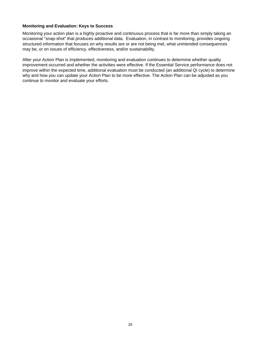#### **Monitoring and Evaluation: Keys to Success**

Monitoring your action plan is a highly proactive and continuous process that is far more than simply taking an occasional "snap-shot" that produces additional data. Evaluation, in contrast to monitoring, provides ongoing structured information that focuses on why results are or are not being met, what unintended consequences may be, or on issues of efficiency, effectiveness, and/or sustainability.

After your Action Plan is implemented, monitoring and evaluation continues to determine whether quality improvement occurred and whether the activities were effective. If the Essential Service performance does not improve within the expected time, additional evaluation must be conducted (an additional QI cycle) to determine why and how you can update your Action Plan to be more effective. The Action Plan can be adjusted as you continue to monitor and evaluate your efforts.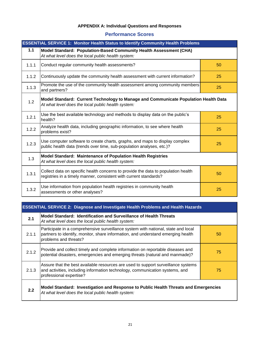#### **APPENDIX A: Individual Questions and Responses**

## **Performance Scores**

| <b>ESSENTIAL SERVICE 1: Monitor Health Status to Identify Community Health Problems</b> |                                                                                                                                                        |    |
|-----------------------------------------------------------------------------------------|--------------------------------------------------------------------------------------------------------------------------------------------------------|----|
| 1.1                                                                                     | Model Standard: Population-Based Community Health Assessment (CHA)<br>At what level does the local public health system:                               |    |
| 1.1.1                                                                                   | Conduct regular community health assessments?                                                                                                          | 50 |
| 1.1.2                                                                                   | Continuously update the community health assessment with current information?                                                                          | 25 |
| 1.1.3                                                                                   | Promote the use of the community health assessment among community members<br>and partners?                                                            | 25 |
| 1.2                                                                                     | Model Standard: Current Technology to Manage and Communicate Population Health Data<br>At what level does the local public health system:              |    |
| 1.2.1                                                                                   | Use the best available technology and methods to display data on the public's<br>health?                                                               | 25 |
| 1.2.2                                                                                   | Analyze health data, including geographic information, to see where health<br>problems exist?                                                          | 25 |
| 1.2.3                                                                                   | Use computer software to create charts, graphs, and maps to display complex<br>public health data (trends over time, sub-population analyses, etc.)?   | 25 |
| 1.3                                                                                     | Model Standard: Maintenance of Population Health Registries<br>At what level does the local public health system:                                      |    |
| 1.3.1                                                                                   | Collect data on specific health concerns to provide the data to population health<br>registries in a timely manner, consistent with current standards? | 50 |
| 1.3.2                                                                                   | Use information from population health registries in community health<br>assessments or other analyses?                                                | 25 |

## **ESSENTIAL SERVICE 2: Diagnose and Investigate Health Problems and Health Hazards**

| 2.1   | Model Standard: Identification and Surveillance of Health Threats<br>At what level does the local public health system:                                                                        |    |
|-------|------------------------------------------------------------------------------------------------------------------------------------------------------------------------------------------------|----|
| 2.1.1 | Participate in a comprehensive surveillance system with national, state and local<br>partners to identify, monitor, share information, and understand emerging health<br>problems and threats? | 50 |
| 2.1.2 | Provide and collect timely and complete information on reportable diseases and<br>potential disasters, emergencies and emerging threats (natural and manmade)?                                 | 75 |
| 2.1.3 | Assure that the best available resources are used to support surveillance systems<br>and activities, including information technology, communication systems, and<br>professional expertise?   | 75 |
| 2.2   | Model Standard: Investigation and Response to Public Health Threats and Emergencies<br>At what level does the local public health system:                                                      |    |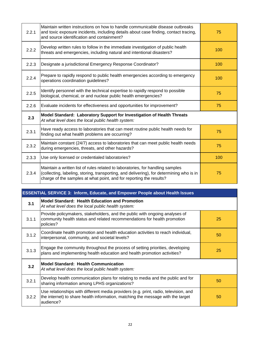| 2.2.1 | Maintain written instructions on how to handle communicable disease outbreaks<br>and toxic exposure incidents, including details about case finding, contact tracing,<br>and source identification and containment?                               | 75  |
|-------|---------------------------------------------------------------------------------------------------------------------------------------------------------------------------------------------------------------------------------------------------|-----|
| 2.2.2 | Develop written rules to follow in the immediate investigation of public health<br>threats and emergencies, including natural and intentional disasters?                                                                                          | 100 |
| 2.2.3 | Designate a jurisdictional Emergency Response Coordinator?                                                                                                                                                                                        | 100 |
| 2.2.4 | Prepare to rapidly respond to public health emergencies according to emergency<br>operations coordination guidelines?                                                                                                                             | 100 |
| 2.2.5 | Identify personnel with the technical expertise to rapidly respond to possible<br>biological, chemical, or and nuclear public health emergencies?                                                                                                 | 75  |
| 2.2.6 | Evaluate incidents for effectiveness and opportunities for improvement?                                                                                                                                                                           | 75  |
| 2.3   | Model Standard: Laboratory Support for Investigation of Health Threats<br>At what level does the local public health system:                                                                                                                      |     |
| 2.3.1 | Have ready access to laboratories that can meet routine public health needs for<br>finding out what health problems are occurring?                                                                                                                | 75  |
| 2.3.2 | Maintain constant (24/7) access to laboratories that can meet public health needs<br>during emergencies, threats, and other hazards?                                                                                                              | 75  |
| 2.3.3 | Use only licensed or credentialed laboratories?                                                                                                                                                                                                   | 100 |
| 2.3.4 | Maintain a written list of rules related to laboratories, for handling samples<br>(collecting, labeling, storing, transporting, and delivering), for determining who is in<br>charge of the samples at what point, and for reporting the results? | 75  |

| <b>ESSENTIAL SERVICE 3: Inform, Educate, and Empower People about Health Issues</b> |                                                                                                                                                                                      |    |
|-------------------------------------------------------------------------------------|--------------------------------------------------------------------------------------------------------------------------------------------------------------------------------------|----|
| 3.1                                                                                 | Model Standard: Health Education and Promotion<br>At what level does the local public health system:                                                                                 |    |
| 3.1.1                                                                               | Provide policymakers, stakeholders, and the public with ongoing analyses of<br>community health status and related recommendations for health promotion<br>policies?                 | 25 |
| 3.1.2                                                                               | Coordinate health promotion and health education activities to reach individual,<br>interpersonal, community, and societal levels?                                                   | 50 |
| 3.1.3                                                                               | Engage the community throughout the process of setting priorities, developing<br>plans and implementing health education and health promotion activities?                            | 25 |
| 3.2                                                                                 | <b>Model Standard: Health Communication</b><br>At what level does the local public health system:                                                                                    |    |
| 3.2.1                                                                               | Develop health communication plans for relating to media and the public and for<br>sharing information among LPHS organizations?                                                     | 50 |
| 3.2.2                                                                               | Use relationships with different media providers (e.g. print, radio, television, and<br>the internet) to share health information, matching the message with the target<br>audience? | 50 |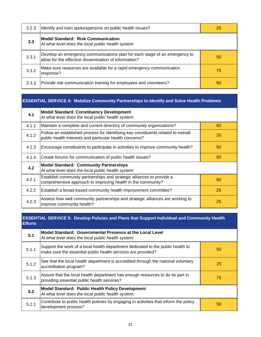| 3.2.3 | Identify and train spokespersons on public health issues?                                                                           | 25 |
|-------|-------------------------------------------------------------------------------------------------------------------------------------|----|
| 3.3   | <b>Model Standard: Risk Communication</b><br>At what level does the local public health system:                                     |    |
| 3.3.1 | Develop an emergency communications plan for each stage of an emergency to<br>allow for the effective dissemination of information? | 50 |
| 3.3.2 | Make sure resources are available for a rapid emergency communication<br>response?                                                  | 75 |
| 3.3.3 | Provide risk communication training for employees and volunteers?                                                                   | 50 |

#### **ESSENTIAL SERVICE 4: Mobilize Community Partnerships to Identify and Solve Health Problems**

| 4.1   | <b>Model Standard: Constituency Development</b><br>At what level does the local public health system:                                        |    |
|-------|----------------------------------------------------------------------------------------------------------------------------------------------|----|
| 4.1.1 | Maintain a complete and current directory of community organizations?                                                                        | 50 |
| 4.1.2 | Follow an established process for identifying key constituents related to overall<br>public health interests and particular health concerns? | 25 |
| 4.1.3 | Encourage constituents to participate in activities to improve community health?                                                             | 50 |
| 4.1.4 | Create forums for communication of public health issues?                                                                                     | 50 |
| 4.2   | <b>Model Standard: Community Partnerships</b><br>At what level does the local public health system:                                          |    |
| 4.2.1 | Establish community partnerships and strategic alliances to provide a<br>comprehensive approach to improving health in the community?        | 50 |
| 4.2.2 | Establish a broad-based community health improvement committee?                                                                              | 25 |
| 4.2.3 | Assess how well community partnerships and strategic alliances are working to<br>improve community health?                                   | 25 |

#### **ESSENTIAL SERVICE 5: Develop Policies and Plans that Support Individual and Community Health Efforts**

| 5.1   | Model Standard: Governmental Presence at the Local Level<br>At what level does the local public health system:                                  |    |
|-------|-------------------------------------------------------------------------------------------------------------------------------------------------|----|
| 5.1.1 | Support the work of a local health department dedicated to the public health to<br>make sure the essential public health services are provided? | 50 |
| 5.1.2 | See that the local health department is accredited through the national voluntary<br>accreditation program?                                     | 25 |
| 5.1.3 | Assure that the local health department has enough resources to do its part in<br>providing essential public health services?                   | 75 |
| 5.2   | <b>Model Standard: Public Health Policy Development</b><br>At what level does the local public health system:                                   |    |
| 5.2.1 | Contribute to public health policies by engaging in activities that inform the policy<br>development process?                                   | 50 |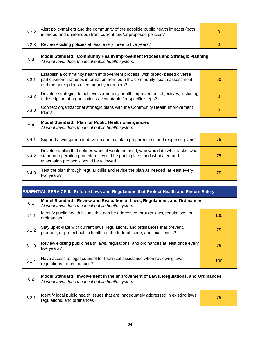| 5.2.2 | Alert policymakers and the community of the possible public health impacts (both<br>intended and unintended) from current and/or proposed policies?                                                        | 0        |  |
|-------|------------------------------------------------------------------------------------------------------------------------------------------------------------------------------------------------------------|----------|--|
| 5.2.3 | Review existing policies at least every three to five years?                                                                                                                                               | $\Omega$ |  |
| 5.3   | Model Standard: Community Health Improvement Process and Strategic Planning<br>At what level does the local public health system:                                                                          |          |  |
| 5.3.1 | Establish a community health improvement process, with broad- based diverse<br>participation, that uses information from both the community health assessment<br>and the perceptions of community members? | 50       |  |
| 5.3.2 | Develop strategies to achieve community health improvement objectives, including<br>a description of organizations accountable for specific steps?                                                         |          |  |
| 5.3.3 | Connect organizational strategic plans with the Community Health Improvement<br>Plan?                                                                                                                      | $\Omega$ |  |
| 5.4   | Model Standard: Plan for Public Health Emergencies<br>At what level does the local public health system:                                                                                                   |          |  |
| 5.4.1 | Support a workgroup to develop and maintain preparedness and response plans?                                                                                                                               | 75       |  |
| 5.4.2 | Develop a plan that defines when it would be used, who would do what tasks, what<br>standard operating procedures would be put in place, and what alert and<br>evacuation protocols would be followed?     | 75       |  |
| 5.4.3 | Test the plan through regular drills and revise the plan as needed, at least every<br>two years?                                                                                                           | 75       |  |

## **ESSENTIAL SERVICE 6: Enforce Laws and Regulations that Protect Health and Ensure Safety**

| 6.1   | Model Standard: Review and Evaluation of Laws, Regulations, and Ordinances<br>At what level does the local public health system:                                 |    |  |
|-------|------------------------------------------------------------------------------------------------------------------------------------------------------------------|----|--|
| 6.1.1 | Identify public health issues that can be addressed through laws, regulations, or<br>100<br>ordinances?                                                          |    |  |
| 6.1.2 | Stay up-to-date with current laws, regulations, and ordinances that prevent,<br>75<br>promote, or protect public health on the federal, state, and local levels? |    |  |
| 6.1.3 | Review existing public health laws, regulations, and ordinances at least once every<br>five years?                                                               | 75 |  |
| 6.1.4 | Have access to legal counsel for technical assistance when reviewing laws,<br>100<br>regulations, or ordinances?                                                 |    |  |
| 6.2   | Model Standard: Involvement in the Improvement of Laws, Regulations, and Ordinances<br>At what level does the local public health system:                        |    |  |
| 6.2.1 | Identify local public health issues that are inadequately addressed in existing laws,<br>regulations, and ordinances?                                            | 75 |  |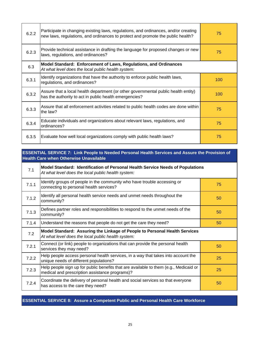| 6.2.2 | Participate in changing existing laws, regulations, and ordinances, and/or creating<br>new laws, regulations, and ordinances to protect and promote the public health? | 75  |
|-------|------------------------------------------------------------------------------------------------------------------------------------------------------------------------|-----|
| 6.2.3 | Provide technical assistance in drafting the language for proposed changes or new<br>laws, regulations, and ordinances?                                                | 75  |
| 6.3   | Model Standard: Enforcement of Laws, Regulations, and Ordinances<br>At what level does the local public health system:                                                 |     |
| 6.3.1 | Identify organizations that have the authority to enforce public health laws,<br>regulations, and ordinances?                                                          |     |
| 6.3.2 | Assure that a local health department (or other governmental public health entity)<br>has the authority to act in public health emergencies?                           | 100 |
| 6.3.3 | Assure that all enforcement activities related to public health codes are done within<br>the law?                                                                      | 75  |
| 6.3.4 | Educate individuals and organizations about relevant laws, regulations, and<br>ordinances?                                                                             | 75  |
| 6.3.5 | Evaluate how well local organizations comply with public health laws?                                                                                                  | 75  |

#### **ESSENTIAL SERVICE 7: Link People to Needed Personal Health Services and Assure the Provision of Health Care when Otherwise Unavailable**

| 7.1   | Model Standard: Identification of Personal Health Service Needs of Populations<br>At what level does the local public health system:    |    |  |
|-------|-----------------------------------------------------------------------------------------------------------------------------------------|----|--|
| 7.1.1 | Identify groups of people in the community who have trouble accessing or<br>connecting to personal health services?                     | 75 |  |
| 7.1.2 | Identify all personal health service needs and unmet needs throughout the<br>community?                                                 | 50 |  |
| 7.1.3 | Defines partner roles and responsibilities to respond to the unmet needs of the<br>community?                                           | 50 |  |
| 7.1.4 | Understand the reasons that people do not get the care they need?                                                                       | 50 |  |
| 7.2   | Model Standard: Assuring the Linkage of People to Personal Health Services<br>At what level does the local public health system:        |    |  |
| 7.2.1 | Connect (or link) people to organizations that can provide the personal health<br>services they may need?                               | 50 |  |
| 7.2.2 | Help people access personal health services, in a way that takes into account the<br>unique needs of different populations?             | 25 |  |
| 7.2.3 | Help people sign up for public benefits that are available to them (e.g., Medicaid or<br>medical and prescription assistance programs)? | 25 |  |
| 7.2.4 | Coordinate the delivery of personal health and social services so that everyone<br>has access to the care they need?                    | 50 |  |

## **ESSENTIAL SERVICE 8: Assure a Competent Public and Personal Health Care Workforce**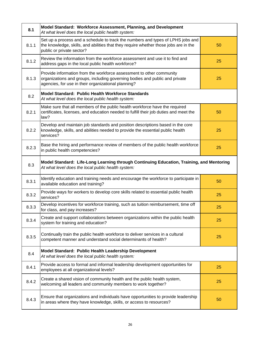| 8.1   | Model Standard: Workforce Assessment, Planning, and Development<br>At what level does the local public health system:                                                                                            |    |  |  |
|-------|------------------------------------------------------------------------------------------------------------------------------------------------------------------------------------------------------------------|----|--|--|
| 8.1.1 | Set up a process and a schedule to track the numbers and types of LPHS jobs and<br>the knowledge, skills, and abilities that they require whether those jobs are in the<br>50<br>public or private sector?       |    |  |  |
| 8.1.2 | Review the information from the workforce assessment and use it to find and<br>25<br>address gaps in the local public health workforce?                                                                          |    |  |  |
| 8.1.3 | Provide information from the workforce assessment to other community<br>organizations and groups, including governing bodies and public and private<br>25<br>agencies, for use in their organizational planning? |    |  |  |
| 8.2   | Model Standard: Public Health Workforce Standards<br>At what level does the local public health system:                                                                                                          |    |  |  |
| 8.2.1 | Make sure that all members of the public health workforce have the required<br>certificates, licenses, and education needed to fulfill their job duties and meet the<br>law?                                     | 50 |  |  |
| 8.2.2 | Develop and maintain job standards and position descriptions based in the core<br>knowledge, skills, and abilities needed to provide the essential public health<br>services?                                    | 25 |  |  |
| 8.2.3 | Base the hiring and performance review of members of the public health workforce<br>in public health competencies?                                                                                               | 25 |  |  |
| 8.3   | Model Standard: Life-Long Learning through Continuing Education, Training, and Mentoring<br>At what level does the local public health system:                                                                   |    |  |  |
| 8.3.1 | Identify education and training needs and encourage the workforce to participate in<br>available education and training?                                                                                         | 50 |  |  |
| 8.3.2 | Provide ways for workers to develop core skills related to essential public health<br>services?                                                                                                                  | 25 |  |  |
| 8.3.3 | Develop incentives for workforce training, such as tuition reimbursement, time off<br>for class, and pay increases?                                                                                              | 25 |  |  |
| 8.3.4 | Create and support collaborations between organizations within the public health<br>system for training and education?                                                                                           | 25 |  |  |
| 8.3.5 | Continually train the public health workforce to deliver services in a cultural<br>25<br>competent manner and understand social determinants of health?                                                          |    |  |  |
| 8.4   | Model Standard: Public Health Leadership Development<br>At what level does the local public health system:                                                                                                       |    |  |  |
| 8.4.1 | Provide access to formal and informal leadership development opportunities for<br>employees at all organizational levels?                                                                                        | 25 |  |  |
| 8.4.2 | Create a shared vision of community health and the public health system,<br>welcoming all leaders and community members to work together?                                                                        | 25 |  |  |
| 8.4.3 | Ensure that organizations and individuals have opportunities to provide leadership<br>in areas where they have knowledge, skills, or access to resources?                                                        | 50 |  |  |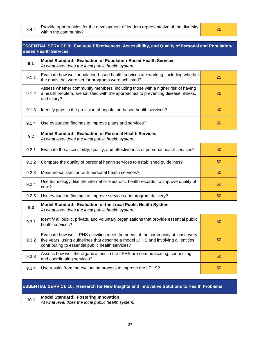|  | Provide opportunities for the development of leaders representative of the diversity<br>8.4.4 within the community? |
|--|---------------------------------------------------------------------------------------------------------------------|
|  |                                                                                                                     |

| <b>ESSENTIAL SERVICE 9: Evaluate Effectiveness, Accessibility, and Quality of Personal and Population-</b><br><b>Based Health Services</b> |                                                                                                                                                                                                                             |    |  |
|--------------------------------------------------------------------------------------------------------------------------------------------|-----------------------------------------------------------------------------------------------------------------------------------------------------------------------------------------------------------------------------|----|--|
| 9.1                                                                                                                                        | Model Standard: Evaluation of Population-Based Health Services<br>At what level does the local public health system:                                                                                                        |    |  |
| 9.1.1                                                                                                                                      | Evaluate how well population-based health services are working, including whether<br>the goals that were set for programs were achieved?                                                                                    | 25 |  |
| 9.1.2                                                                                                                                      | Assess whether community members, including those with a higher risk of having<br>a health problem, are satisfied with the approaches to preventing disease, illness,<br>and injury?                                        | 25 |  |
| 9.1.3                                                                                                                                      | Identify gaps in the provision of population-based health services?                                                                                                                                                         | 50 |  |
| 9.1.4                                                                                                                                      | Use evaluation findings to improve plans and services?                                                                                                                                                                      | 50 |  |
| 9.2                                                                                                                                        | Model Standard: Evaluation of Personal Health Services<br>At what level does the local public health system:                                                                                                                |    |  |
| 9.2.1                                                                                                                                      | Evaluate the accessibility, quality, and effectiveness of personal health services?                                                                                                                                         | 50 |  |
| 9.2.2                                                                                                                                      | Compare the quality of personal health services to established guidelines?                                                                                                                                                  | 50 |  |
| 9.2.3                                                                                                                                      | Measure satisfaction with personal health services?                                                                                                                                                                         | 50 |  |
| 9.2.4                                                                                                                                      | Use technology, like the internet or electronic health records, to improve quality of<br>care?                                                                                                                              | 50 |  |
| 9.2.5                                                                                                                                      | Use evaluation findings to improve services and program delivery?                                                                                                                                                           | 50 |  |
| 9.3                                                                                                                                        | Model Standard: Evaluation of the Local Public Health System<br>At what level does the local public health system:                                                                                                          |    |  |
| 9.3.1                                                                                                                                      | Identify all public, private, and voluntary organizations that provide essential public<br>health services?                                                                                                                 | 50 |  |
| 9.3.2                                                                                                                                      | Evaluate how well LPHS activities meet the needs of the community at least every<br>five years, using guidelines that describe a model LPHS and involving all entities<br>contributing to essential public health services? | 50 |  |
| 9.3.3                                                                                                                                      | Assess how well the organizations in the LPHS are communicating, connecting,<br>and coordinating services?                                                                                                                  | 50 |  |
| 9.3.4                                                                                                                                      | Use results from the evaluation process to improve the LPHS?                                                                                                                                                                | 50 |  |

## **ESSENTIAL SERVICE 10: Research for New Insights and Innovative Solutions to Health Problems**

| 10.1 | <b>Model Standard: Fostering Innovation</b>        |
|------|----------------------------------------------------|
|      | At what level does the local public health system: |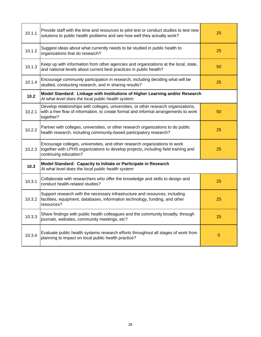| 10.1.1 | Provide staff with the time and resources to pilot test or conduct studies to test new<br>solutions to public health problems and see how well they actually work?                        | 25          |
|--------|-------------------------------------------------------------------------------------------------------------------------------------------------------------------------------------------|-------------|
| 10.1.2 | Suggest ideas about what currently needs to be studied in public health to<br>organizations that do research?                                                                             | 25          |
| 10.1.3 | Keep up with information from other agencies and organizations at the local, state,<br>and national levels about current best practices in public health?                                 | 50          |
| 10.1.4 | Encourage community participation in research, including deciding what will be<br>studied, conducting research, and in sharing results?                                                   | 25          |
| 10.2   | Model Standard: Linkage with Institutions of Higher Learning and/or Research<br>At what level does the local public health system:                                                        |             |
| 10.2.1 | Develop relationships with colleges, universities, or other research organizations,<br>with a free flow of information, to create formal and informal arrangements to work<br>together?   | 50          |
| 10.2.2 | Partner with colleges, universities, or other research organizations to do public<br>health research, including community-based participatory research?                                   | 25          |
| 10.2.3 | Encourage colleges, universities, and other research organizations to work<br>together with LPHS organizations to develop projects, including field training and<br>continuing education? | 25          |
| 10.3   | Model Standard: Capacity to Initiate or Participate in Research<br>At what level does the local public health system:                                                                     |             |
| 10.3.1 | Collaborate with researchers who offer the knowledge and skills to design and<br>conduct health-related studies?                                                                          | 25          |
| 10.3.2 | Support research with the necessary infrastructure and resources, including<br>facilities, equipment, databases, information technology, funding, and other<br>resources?                 | 25          |
| 10.3.3 | Share findings with public health colleagues and the community broadly, through<br>journals, websites, community meetings, etc?                                                           | 25          |
| 10.3.4 | Evaluate public health systems research efforts throughout all stages of work from<br>planning to impact on local public health practice?                                                 | $\mathbf 0$ |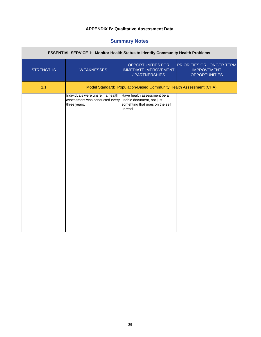## **APPENDIX B: Qualitative Assessment Data**

## **Summary Notes**

| <b>ESSENTIAL SERVICE 1: Monitor Health Status to Identify Community Health Problems</b> |                                                                                      |                                                                                                        |                                                                         |  |
|-----------------------------------------------------------------------------------------|--------------------------------------------------------------------------------------|--------------------------------------------------------------------------------------------------------|-------------------------------------------------------------------------|--|
| <b>STRENGTHS</b>                                                                        | <b>WEAKNESSES</b>                                                                    | OPPORTUNITIES FOR<br><b>IMMEDIATE IMPROVEMENT</b><br>/ PARTNERSHIPS                                    | PRIORITIES OR LONGER TERM<br><b>IMPROVEMENT</b><br><b>OPPORTUNITIES</b> |  |
| 1.1                                                                                     |                                                                                      | Model Standard: Population-Based Community Health Assessment (CHA)                                     |                                                                         |  |
|                                                                                         | Individuals were unsre if a health<br>assessment was conducted every<br>three years. | Have health assessment be a<br>usable document, not just<br>somehting that goes on the self<br>unread. |                                                                         |  |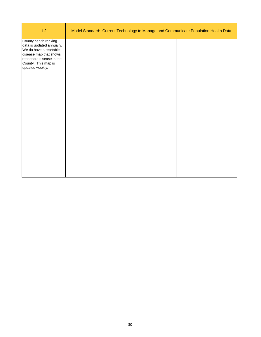| 1.2                                                                                                                                                                           | Model Standard: Current Technology to Manage and Communicate Population Health Data |  |  |
|-------------------------------------------------------------------------------------------------------------------------------------------------------------------------------|-------------------------------------------------------------------------------------|--|--|
| County health ranking<br>data is updated annually.<br>We do have a reortable<br>disease map that shows<br>reportable disease in the<br>County. This map is<br>updated weekly. |                                                                                     |  |  |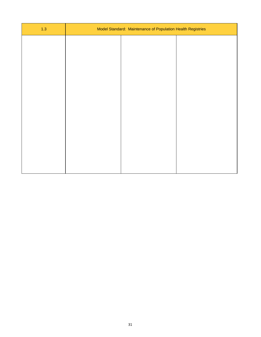| $1.3$ | Model Standard: Maintenance of Population Health Registries |  |
|-------|-------------------------------------------------------------|--|
|       |                                                             |  |
|       |                                                             |  |
|       |                                                             |  |
|       |                                                             |  |
|       |                                                             |  |
|       |                                                             |  |
|       |                                                             |  |
|       |                                                             |  |
|       |                                                             |  |
|       |                                                             |  |
|       |                                                             |  |
|       |                                                             |  |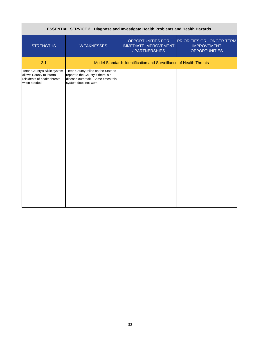|                                                                                                        | ESSENTIAL SERVICE 2: Diagnose and Investigate Health Problems and Health Hazards                                                        |                                                                     |                                                                         |
|--------------------------------------------------------------------------------------------------------|-----------------------------------------------------------------------------------------------------------------------------------------|---------------------------------------------------------------------|-------------------------------------------------------------------------|
| <b>STRENGTHS</b>                                                                                       | <b>WEAKNESSES</b>                                                                                                                       | OPPORTUNITIES FOR<br><b>IMMEDIATE IMPROVEMENT</b><br>/ PARTNERSHIPS | PRIORITIES OR LONGER TERM<br><b>IMPROVEMENT</b><br><b>OPPORTUNITIES</b> |
| 2.1                                                                                                    |                                                                                                                                         | Model Standard: Identification and Surveillance of Health Threats   |                                                                         |
| Teton County's Nixle system<br>allows County to inform<br>reisidents of health threats<br>when needed. | Teton County relies on the State to<br>report to the County if there is a<br>disease outbreak. Some times this<br>system does not work. |                                                                     |                                                                         |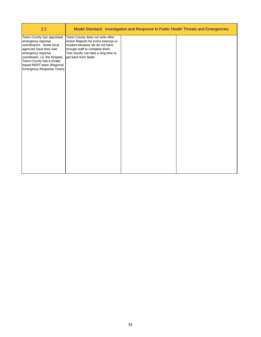| 2.2                                                                                                                                                                                                                                                   |                                                                                                                                                                                                                | Model Standard: Investigation and Response to Public Health Threats and Emergencies |  |
|-------------------------------------------------------------------------------------------------------------------------------------------------------------------------------------------------------------------------------------------------------|----------------------------------------------------------------------------------------------------------------------------------------------------------------------------------------------------------------|-------------------------------------------------------------------------------------|--|
| Teton County has appointed<br>emergency reponse<br>coordinators. Some local<br>agencies have their own<br>emergency reponse<br>coordinator, i.e. the hospital.<br>Teton County has a locally<br>based RERT team (Regional<br>Emergency Response Team) | Teton County does not write After<br>Action Reports for every exercise or<br>incident because we do not have<br>enough staff to complete them.<br>Test results can take a long time to<br>get back from State. |                                                                                     |  |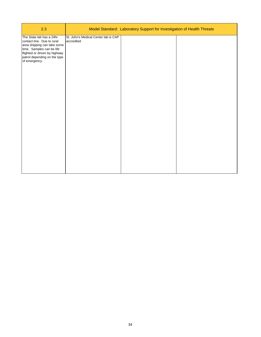| 2.3                                                                                                                                                                                                  |                                                    | Model Standard: Laboratory Support for Investigation of Health Threats |  |
|------------------------------------------------------------------------------------------------------------------------------------------------------------------------------------------------------|----------------------------------------------------|------------------------------------------------------------------------|--|
| The State lab has a 24hr<br>contact line. Due to rural<br>area shipping can take some<br>time. Samples can be life<br>flighted or driven by highway<br>patrol depending on the type<br>of emergency. | St. John's Medical Center lab is CAP<br>accredited |                                                                        |  |
|                                                                                                                                                                                                      |                                                    |                                                                        |  |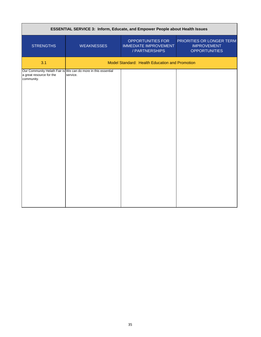|                                        | ESSENTIAL SERVICE 3: Inform, Educate, and Empower People about Health Issues |                                                                     |                                                                         |
|----------------------------------------|------------------------------------------------------------------------------|---------------------------------------------------------------------|-------------------------------------------------------------------------|
| <b>STRENGTHS</b>                       | <b>WEAKNESSES</b>                                                            | OPPORTUNITIES FOR<br><b>IMMEDIATE IMPROVEMENT</b><br>/ PARTNERSHIPS | PRIORITIES OR LONGER TERM<br><b>IMPROVEMENT</b><br><b>OPPORTUNITIES</b> |
| 3.1                                    |                                                                              | Model Standard: Health Education and Promotion                      |                                                                         |
| a great resource for the<br>community. | Our Community Helath Fair is We can do more in this essential<br>service.    |                                                                     |                                                                         |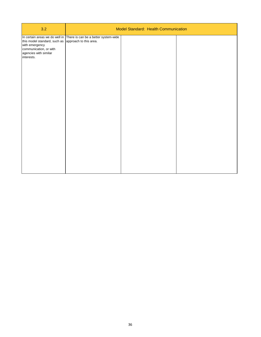| 3.2                                                                                                                                    | Model Standard: Health Communication                                |  |  |
|----------------------------------------------------------------------------------------------------------------------------------------|---------------------------------------------------------------------|--|--|
| this model standard, such as approach to this area.<br>with emergency<br>communication, or with<br>agencies with similar<br>interests. | In certain areas we do well in There is can be a better system-wide |  |  |
|                                                                                                                                        |                                                                     |  |  |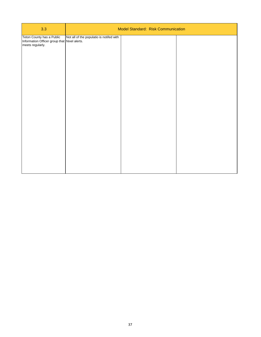| 3.3                                                                                           |                                          | Model Standard: Risk Communication |  |
|-----------------------------------------------------------------------------------------------|------------------------------------------|------------------------------------|--|
| Teton County has a Public<br>Information Officer group that Nixel alerts.<br>meets regularly. | Not all of the populatio is notifed with |                                    |  |
|                                                                                               |                                          |                                    |  |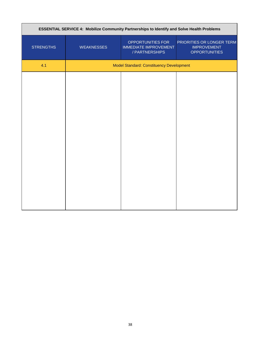| ESSENTIAL SERVICE 4: Mobilize Community Partnerships to Identify and Solve Health Problems |                   |                                                                     |                                                                         |
|--------------------------------------------------------------------------------------------|-------------------|---------------------------------------------------------------------|-------------------------------------------------------------------------|
| <b>STRENGTHS</b>                                                                           | <b>WEAKNESSES</b> | OPPORTUNITIES FOR<br><b>IMMEDIATE IMPROVEMENT</b><br>/ PARTNERSHIPS | PRIORITIES OR LONGER TERM<br><b>IMPROVEMENT</b><br><b>OPPORTUNITIES</b> |
| 4.1                                                                                        |                   | <b>Model Standard: Constituency Development</b>                     |                                                                         |
|                                                                                            |                   |                                                                     |                                                                         |
|                                                                                            |                   |                                                                     |                                                                         |
|                                                                                            |                   |                                                                     |                                                                         |
|                                                                                            |                   |                                                                     |                                                                         |
|                                                                                            |                   |                                                                     |                                                                         |
|                                                                                            |                   |                                                                     |                                                                         |
|                                                                                            |                   |                                                                     |                                                                         |
|                                                                                            |                   |                                                                     |                                                                         |
|                                                                                            |                   |                                                                     |                                                                         |
|                                                                                            |                   |                                                                     |                                                                         |
|                                                                                            |                   |                                                                     |                                                                         |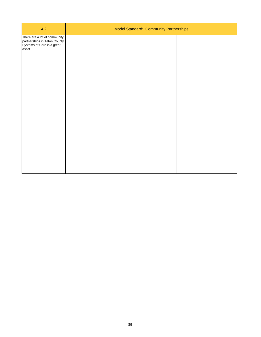| 4.2                                                                                                   | Model Standard: Community Partnerships |  |
|-------------------------------------------------------------------------------------------------------|----------------------------------------|--|
| There are a lot of community<br>partnerships in Teton County.<br>Systems of Care is a great<br>asset. |                                        |  |
|                                                                                                       |                                        |  |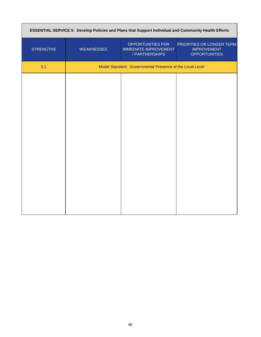| ESSENTIAL SERVICE 5: Develop Policies and Plans that Support Individual and Community Health Efforts |                   |                                                                     |                                                                         |
|------------------------------------------------------------------------------------------------------|-------------------|---------------------------------------------------------------------|-------------------------------------------------------------------------|
| <b>STRENGTHS</b>                                                                                     | <b>WEAKNESSES</b> | OPPORTUNITIES FOR<br><b>IMMEDIATE IMPROVEMENT</b><br>/ PARTNERSHIPS | PRIORITIES OR LONGER TERM<br><b>IMPROVEMENT</b><br><b>OPPORTUNITIES</b> |
| 5.1                                                                                                  |                   | Model Standard: Governmental Presence at the Local Level            |                                                                         |
|                                                                                                      |                   |                                                                     |                                                                         |
|                                                                                                      |                   |                                                                     |                                                                         |
|                                                                                                      |                   |                                                                     |                                                                         |
|                                                                                                      |                   |                                                                     |                                                                         |
|                                                                                                      |                   |                                                                     |                                                                         |
|                                                                                                      |                   |                                                                     |                                                                         |
|                                                                                                      |                   |                                                                     |                                                                         |
|                                                                                                      |                   |                                                                     |                                                                         |
|                                                                                                      |                   |                                                                     |                                                                         |
|                                                                                                      |                   |                                                                     |                                                                         |
|                                                                                                      |                   |                                                                     |                                                                         |
|                                                                                                      |                   |                                                                     |                                                                         |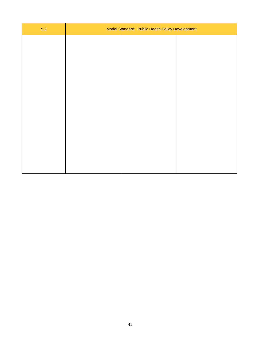| $5.2$ | Model Standard: Public Health Policy Development |  |  |
|-------|--------------------------------------------------|--|--|
|       |                                                  |  |  |
|       |                                                  |  |  |
|       |                                                  |  |  |
|       |                                                  |  |  |
|       |                                                  |  |  |
|       |                                                  |  |  |
|       |                                                  |  |  |
|       |                                                  |  |  |
|       |                                                  |  |  |
|       |                                                  |  |  |
|       |                                                  |  |  |
|       |                                                  |  |  |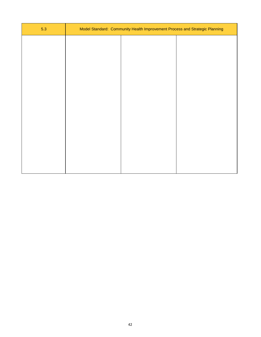| 5.3 | Model Standard: Community Health Improvement Process and Strategic Planning |  |
|-----|-----------------------------------------------------------------------------|--|
|     |                                                                             |  |
|     |                                                                             |  |
|     |                                                                             |  |
|     |                                                                             |  |
|     |                                                                             |  |
|     |                                                                             |  |
|     |                                                                             |  |
|     |                                                                             |  |
|     |                                                                             |  |
|     |                                                                             |  |
|     |                                                                             |  |
|     |                                                                             |  |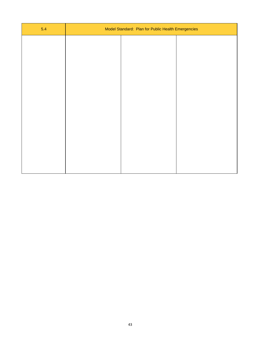| 5.4 | Model Standard: Plan for Public Health Emergencies |  |  |
|-----|----------------------------------------------------|--|--|
|     |                                                    |  |  |
|     |                                                    |  |  |
|     |                                                    |  |  |
|     |                                                    |  |  |
|     |                                                    |  |  |
|     |                                                    |  |  |
|     |                                                    |  |  |
|     |                                                    |  |  |
|     |                                                    |  |  |
|     |                                                    |  |  |
|     |                                                    |  |  |
|     |                                                    |  |  |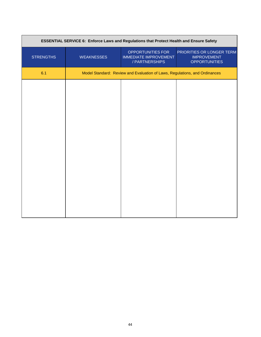|                  | ESSENTIAL SERVICE 6: Enforce Laws and Regulations that Protect Health and Ensure Safety |                                                                            |                                                                         |
|------------------|-----------------------------------------------------------------------------------------|----------------------------------------------------------------------------|-------------------------------------------------------------------------|
| <b>STRENGTHS</b> | <b>WEAKNESSES</b>                                                                       | OPPORTUNITIES FOR<br><b>IMMEDIATE IMPROVEMENT</b><br>/ PARTNERSHIPS        | PRIORITIES OR LONGER TERM<br><b>IMPROVEMENT</b><br><b>OPPORTUNITIES</b> |
| 6.1              |                                                                                         | Model Standard: Review and Evaluation of Laws, Regulations, and Ordinances |                                                                         |
|                  |                                                                                         |                                                                            |                                                                         |
|                  |                                                                                         |                                                                            |                                                                         |
|                  |                                                                                         |                                                                            |                                                                         |
|                  |                                                                                         |                                                                            |                                                                         |
|                  |                                                                                         |                                                                            |                                                                         |
|                  |                                                                                         |                                                                            |                                                                         |
|                  |                                                                                         |                                                                            |                                                                         |
|                  |                                                                                         |                                                                            |                                                                         |
|                  |                                                                                         |                                                                            |                                                                         |
|                  |                                                                                         |                                                                            |                                                                         |
|                  |                                                                                         |                                                                            |                                                                         |
|                  |                                                                                         |                                                                            |                                                                         |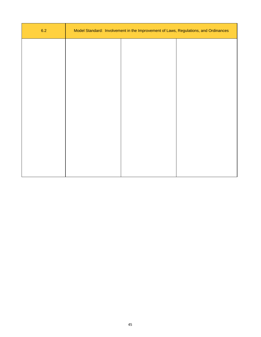| 6.2 | Model Standard: Involvement in the Improvement of Laws, Regulations, and Ordinances |
|-----|-------------------------------------------------------------------------------------|
|     |                                                                                     |
|     |                                                                                     |
|     |                                                                                     |
|     |                                                                                     |
|     |                                                                                     |
|     |                                                                                     |
|     |                                                                                     |
|     |                                                                                     |
|     |                                                                                     |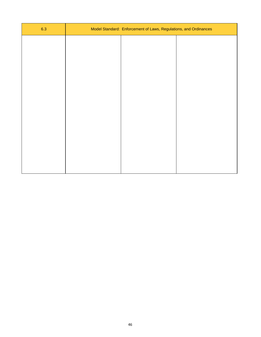| 6.3 | Model Standard: Enforcement of Laws, Regulations, and Ordinances |  |  |
|-----|------------------------------------------------------------------|--|--|
|     |                                                                  |  |  |
|     |                                                                  |  |  |
|     |                                                                  |  |  |
|     |                                                                  |  |  |
|     |                                                                  |  |  |
|     |                                                                  |  |  |
|     |                                                                  |  |  |
|     |                                                                  |  |  |
|     |                                                                  |  |  |
|     |                                                                  |  |  |
|     |                                                                  |  |  |
|     |                                                                  |  |  |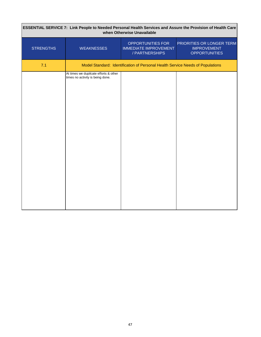| ESSENTIAL SERVICE 7: Link People to Needed Personal Health Services and Assure the Provision of Health Care<br>when Otherwise Unavailable |                                                                           |                                                                                |                                                                         |
|-------------------------------------------------------------------------------------------------------------------------------------------|---------------------------------------------------------------------------|--------------------------------------------------------------------------------|-------------------------------------------------------------------------|
| <b>STRENGTHS</b>                                                                                                                          | <b>WEAKNESSES</b>                                                         | OPPORTUNITIES FOR<br><b>IMMEDIATE IMPROVEMENT</b><br>/ PARTNERSHIPS            | PRIORITIES OR LONGER TERM<br><b>IMPROVEMENT</b><br><b>OPPORTUNITIES</b> |
| 7.1                                                                                                                                       |                                                                           | Model Standard: Identification of Personal Health Service Needs of Populations |                                                                         |
|                                                                                                                                           | At times we dupilcate efforts & other<br>times no activity is being done. |                                                                                |                                                                         |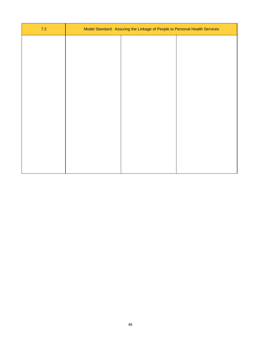| $7.2$ | Model Standard: Assuring the Linkage of People to Personal Health Services |  |  |
|-------|----------------------------------------------------------------------------|--|--|
|       |                                                                            |  |  |
|       |                                                                            |  |  |
|       |                                                                            |  |  |
|       |                                                                            |  |  |
|       |                                                                            |  |  |
|       |                                                                            |  |  |
|       |                                                                            |  |  |
|       |                                                                            |  |  |
|       |                                                                            |  |  |
|       |                                                                            |  |  |
|       |                                                                            |  |  |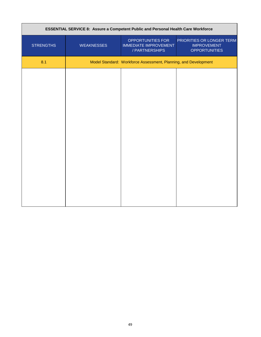|                  | ESSENTIAL SERVICE 8: Assure a Competent Public and Personal Health Care Workforce |                                                                     |                                                                         |
|------------------|-----------------------------------------------------------------------------------|---------------------------------------------------------------------|-------------------------------------------------------------------------|
| <b>STRENGTHS</b> | <b>WEAKNESSES</b>                                                                 | OPPORTUNITIES FOR<br><b>IMMEDIATE IMPROVEMENT</b><br>/ PARTNERSHIPS | PRIORITIES OR LONGER TERM<br><b>IMPROVEMENT</b><br><b>OPPORTUNITIES</b> |
| 8.1              |                                                                                   | Model Standard: Workforce Assessment, Planning, and Development     |                                                                         |
|                  |                                                                                   |                                                                     |                                                                         |
|                  |                                                                                   |                                                                     |                                                                         |
|                  |                                                                                   |                                                                     |                                                                         |
|                  |                                                                                   |                                                                     |                                                                         |
|                  |                                                                                   |                                                                     |                                                                         |
|                  |                                                                                   |                                                                     |                                                                         |
|                  |                                                                                   |                                                                     |                                                                         |
|                  |                                                                                   |                                                                     |                                                                         |
|                  |                                                                                   |                                                                     |                                                                         |
|                  |                                                                                   |                                                                     |                                                                         |
|                  |                                                                                   |                                                                     |                                                                         |
|                  |                                                                                   |                                                                     |                                                                         |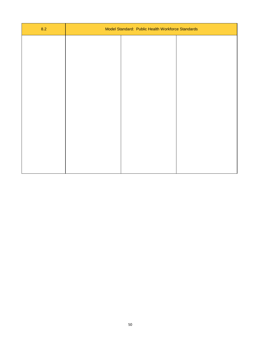| 8.2 | Model Standard: Public Health Workforce Standards |  |  |
|-----|---------------------------------------------------|--|--|
|     |                                                   |  |  |
|     |                                                   |  |  |
|     |                                                   |  |  |
|     |                                                   |  |  |
|     |                                                   |  |  |
|     |                                                   |  |  |
|     |                                                   |  |  |
|     |                                                   |  |  |
|     |                                                   |  |  |
|     |                                                   |  |  |
|     |                                                   |  |  |
|     |                                                   |  |  |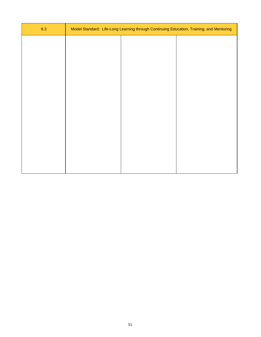| 8.3 |  | Model Standard: Life-Long Learning through Continuing Education, Training, and Mentoring |
|-----|--|------------------------------------------------------------------------------------------|
|     |  |                                                                                          |
|     |  |                                                                                          |
|     |  |                                                                                          |
|     |  |                                                                                          |
|     |  |                                                                                          |
|     |  |                                                                                          |
|     |  |                                                                                          |
|     |  |                                                                                          |
|     |  |                                                                                          |
|     |  |                                                                                          |
|     |  |                                                                                          |
|     |  |                                                                                          |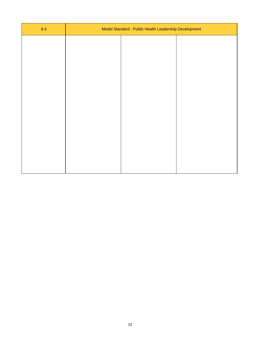| 8.4 | Model Standard: Public Health Leadership Development |  |  |
|-----|------------------------------------------------------|--|--|
|     |                                                      |  |  |
|     |                                                      |  |  |
|     |                                                      |  |  |
|     |                                                      |  |  |
|     |                                                      |  |  |
|     |                                                      |  |  |
|     |                                                      |  |  |
|     |                                                      |  |  |
|     |                                                      |  |  |
|     |                                                      |  |  |
|     |                                                      |  |  |
|     |                                                      |  |  |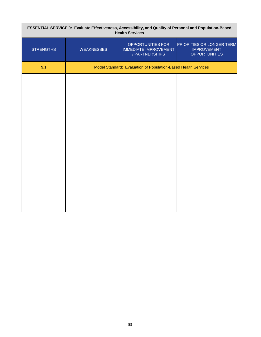| ESSENTIAL SERVICE 9: Evaluate Effectiveness, Accessibility, and Quality of Personal and Population-Based<br><b>Health Services</b> |                   |                                                                     |                                                                         |  |
|------------------------------------------------------------------------------------------------------------------------------------|-------------------|---------------------------------------------------------------------|-------------------------------------------------------------------------|--|
| <b>STRENGTHS</b>                                                                                                                   | <b>WEAKNESSES</b> | OPPORTUNITIES FOR<br><b>IMMEDIATE IMPROVEMENT</b><br>/ PARTNERSHIPS | PRIORITIES OR LONGER TERM<br><b>IMPROVEMENT</b><br><b>OPPORTUNITIES</b> |  |
| 9.1                                                                                                                                |                   | Model Standard: Evaluation of Population-Based Health Services      |                                                                         |  |
|                                                                                                                                    |                   |                                                                     |                                                                         |  |
|                                                                                                                                    |                   |                                                                     |                                                                         |  |
|                                                                                                                                    |                   |                                                                     |                                                                         |  |
|                                                                                                                                    |                   |                                                                     |                                                                         |  |
|                                                                                                                                    |                   |                                                                     |                                                                         |  |
|                                                                                                                                    |                   |                                                                     |                                                                         |  |
|                                                                                                                                    |                   |                                                                     |                                                                         |  |
|                                                                                                                                    |                   |                                                                     |                                                                         |  |
|                                                                                                                                    |                   |                                                                     |                                                                         |  |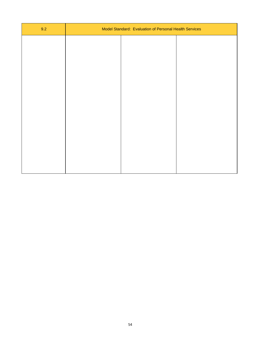| 9.2 | Model Standard: Evaluation of Personal Health Services |  |  |
|-----|--------------------------------------------------------|--|--|
|     |                                                        |  |  |
|     |                                                        |  |  |
|     |                                                        |  |  |
|     |                                                        |  |  |
|     |                                                        |  |  |
|     |                                                        |  |  |
|     |                                                        |  |  |
|     |                                                        |  |  |
|     |                                                        |  |  |
|     |                                                        |  |  |
|     |                                                        |  |  |
|     |                                                        |  |  |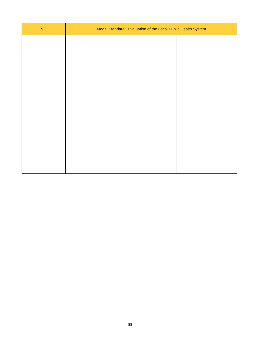| 9.3 | Model Standard: Evaluation of the Local Public Health System |  |  |
|-----|--------------------------------------------------------------|--|--|
|     |                                                              |  |  |
|     |                                                              |  |  |
|     |                                                              |  |  |
|     |                                                              |  |  |
|     |                                                              |  |  |
|     |                                                              |  |  |
|     |                                                              |  |  |
|     |                                                              |  |  |
|     |                                                              |  |  |
|     |                                                              |  |  |
|     |                                                              |  |  |
|     |                                                              |  |  |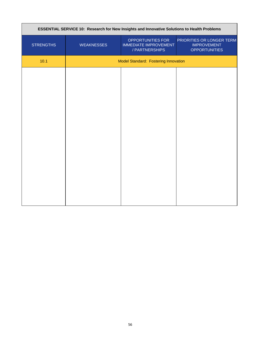| ESSENTIAL SERVICE 10: Research for New Insights and Innovative Solutions to Health Problems |                                      |                                                                     |                                                                         |
|---------------------------------------------------------------------------------------------|--------------------------------------|---------------------------------------------------------------------|-------------------------------------------------------------------------|
| <b>STRENGTHS</b>                                                                            | <b>WEAKNESSES</b>                    | OPPORTUNITIES FOR<br><b>IMMEDIATE IMPROVEMENT</b><br>/ PARTNERSHIPS | PRIORITIES OR LONGER TERM<br><b>IMPROVEMENT</b><br><b>OPPORTUNITIES</b> |
| 10.1                                                                                        | Model Standard: Fostering Innovation |                                                                     |                                                                         |
|                                                                                             |                                      |                                                                     |                                                                         |
|                                                                                             |                                      |                                                                     |                                                                         |
|                                                                                             |                                      |                                                                     |                                                                         |
|                                                                                             |                                      |                                                                     |                                                                         |
|                                                                                             |                                      |                                                                     |                                                                         |
|                                                                                             |                                      |                                                                     |                                                                         |
|                                                                                             |                                      |                                                                     |                                                                         |
|                                                                                             |                                      |                                                                     |                                                                         |
|                                                                                             |                                      |                                                                     |                                                                         |
|                                                                                             |                                      |                                                                     |                                                                         |
|                                                                                             |                                      |                                                                     |                                                                         |
|                                                                                             |                                      |                                                                     |                                                                         |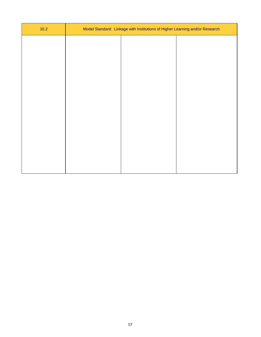| $10.2$ | Model Standard: Linkage with Institutions of Higher Learning and/or Research |  |  |
|--------|------------------------------------------------------------------------------|--|--|
|        |                                                                              |  |  |
|        |                                                                              |  |  |
|        |                                                                              |  |  |
|        |                                                                              |  |  |
|        |                                                                              |  |  |
|        |                                                                              |  |  |
|        |                                                                              |  |  |
|        |                                                                              |  |  |
|        |                                                                              |  |  |
|        |                                                                              |  |  |
|        |                                                                              |  |  |
|        |                                                                              |  |  |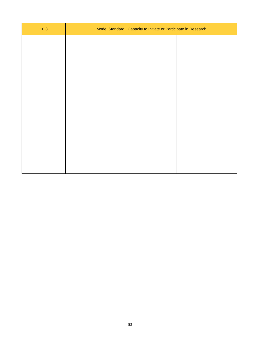| 10.3 | Model Standard: Capacity to Initiate or Participate in Research |  |
|------|-----------------------------------------------------------------|--|
|      |                                                                 |  |
|      |                                                                 |  |
|      |                                                                 |  |
|      |                                                                 |  |
|      |                                                                 |  |
|      |                                                                 |  |
|      |                                                                 |  |
|      |                                                                 |  |
|      |                                                                 |  |
|      |                                                                 |  |
|      |                                                                 |  |
|      |                                                                 |  |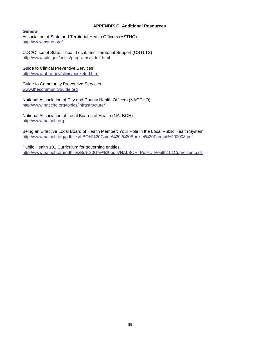#### **APPENDIX C: Additional Resources**

**General** Association of State and Territorial Health Officers (ASTHO) http://www.astho.org/

CDC/Office of State, Tribal, Local, and Territorial Support (OSTLTS) http://www.cdc.gov/ostlts/programs/index.html

Guide to Clinical Preventive Services http://www.ahrq.gov/clinic/pocketgd.htm

Guide to Community Preventive Services www.thecommunityguide.org

National Association of City and County Health Officers (NACCHO) http://www.naccho.org/topics/infrastructure/

National Association of Local Boards of Health (NALBOH) http://www.nalboh.org

Being an Effective Local Board of Health Member: Your Role in the Local Public Health System http://www.nalboh.org/pdffiles/LBOH%20Guide%20-%20Booklet%20Format%202008.pdf

Public Health 101 Curriculum for governing entities http://www.nalboh.org/pdffiles/Bd%20Gov%20pdfs/NALBOH\_Public\_Health101Curriculum.pdf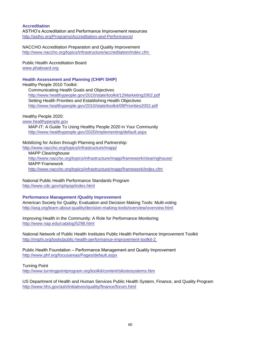#### **Accreditation**

ASTHO's Accreditation and Performance Improvement resources http://astho.org/Programs/Accreditation-and-Performance/

NACCHO Accreditation Preparation and Quality Improvement http://www.naccho.org/topics/infrastructure/accreditation/index.cfm

Public Health Accreditation Board www.phaboard.org

#### **Health Assessment and Planning (CHIP/ SHIP)**

Healthy People 2010 Toolkit:

 Communicating Health Goals and Objectives http://www.healthypeople.gov/2010/state/toolkit/12Marketing2002.pdf Setting Health Priorities and Establishing Health Objectives http://www.healthypeople.gov/2010/state/toolkit/09Priorities2002.pdf

Healthy People 2020:

www.healthypeople.gov

 MAP-IT: A Guide To Using Healthy People 2020 in Your Community http://www.healthypeople.gov/2020/implementing/default.aspx

Mobilizing for Action through Planning and Partnership: http://www.naccho.org/topics/infrastructure/mapp/

 MAPP Clearinghouse http://www.naccho.org/topics/infrastructure/mapp/framework/clearinghouse/ MAPP Framework http://www.naccho.org/topics/infrastructure/mapp/framework/index.cfm

National Public Health Performance Standards Program http://www.cdc.gov/nphpsp/index.html

#### **Performance Management /Quality Improvement**

American Society for Quality; Evaluation and Decision Making Tools: Multi-voting http://asq.org/learn-about-quality/decision-making-tools/overview/overview.html

Improving Health in the Community: A Role for Performance Monitoring http://www.nap.edu/catalog/5298.html

National Network of Public Health Institutes Public Health Performance Improvement Toolkit http://nnphi.org/tools/public-health-performance-improvement-toolkit-2

Public Health Foundation – Performance Management and Quality Improvement http://www.phf.org/focusareas/Pages/default.aspx

Turning Point http://www.turningpointprogram.org/toolkit/content/silostosystems.htm

US Department of Health and Human Services Public Health System, Finance, and Quality Program http://www.hhs.gov/ash/initiatives/quality/finance/forum.html